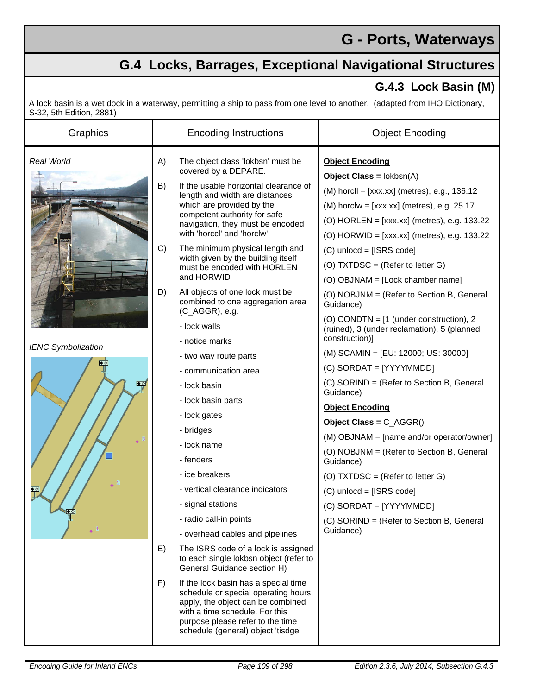## **G - Ports, Waterways**

## **G.4 Locks, Barrages, Exceptional Navigational Structures**

## **G.4.3 Lock Basin (M)**

A lock basin is a wet dock in a waterway, permitting a ship to pass from one level to another. (adapted from IHO Dictionary, S-32, 5th Edition, 2881)

| ر 2001, טוו בטוווטוו, 200 |          |                                                                                                                                                                                                                                            |                                                                        |
|---------------------------|----------|--------------------------------------------------------------------------------------------------------------------------------------------------------------------------------------------------------------------------------------------|------------------------------------------------------------------------|
| Graphics                  |          | <b>Encoding Instructions</b>                                                                                                                                                                                                               | <b>Object Encoding</b>                                                 |
| Real World                | A)       | The object class 'lokbsn' must be<br>covered by a DEPARE.                                                                                                                                                                                  | <b>Object Encoding</b><br><b>Object Class = <math>lokbsn(A)</math></b> |
|                           | B)<br>C) | If the usable horizontal clearance of<br>length and width are distances<br>which are provided by the<br>competent authority for safe<br>navigation, they must be encoded<br>with 'horccl' and 'horclw'.<br>The minimum physical length and | $(M)$ horcll = $[xxx.xx]$ (metres), e.g., 136.12                       |
|                           |          |                                                                                                                                                                                                                                            |                                                                        |
|                           |          |                                                                                                                                                                                                                                            | $(M)$ horclw = $[xxxx.xx]$ (metres), e.g. 25.17                        |
|                           |          |                                                                                                                                                                                                                                            | (O) HORLEN = [xxx.xx] (metres), e.g. 133.22                            |
|                           |          |                                                                                                                                                                                                                                            | (O) HORWID = [xxx.xx] (metres), e.g. 133.22                            |
|                           |          | width given by the building itself<br>must be encoded with HORLEN<br>and HORWID                                                                                                                                                            | $(C)$ unlocd = [ISRS code]                                             |
|                           |          |                                                                                                                                                                                                                                            | (O) $TXT DSC = (Refer to letter G)$                                    |
|                           | D)       | All objects of one lock must be                                                                                                                                                                                                            | (O) OBJNAM = [Lock chamber name]                                       |
|                           |          | combined to one aggregation area<br>(C_AGGR), e.g.                                                                                                                                                                                         | (O) NOBJNM = (Refer to Section B, General<br>Guidance)                 |
|                           |          | - lock walls                                                                                                                                                                                                                               | (O) CONDTN = $[1$ (under construction), 2                              |
|                           |          | - notice marks                                                                                                                                                                                                                             | (ruined), 3 (under reclamation), 5 (planned<br>construction)]          |
| <b>IENC Symbolization</b> |          | - two way route parts                                                                                                                                                                                                                      | (M) SCAMIN = [EU: 12000; US: 30000]                                    |
| ∙⊴<br>$\bullet$ $\circ$   |          | - communication area                                                                                                                                                                                                                       | (C) SORDAT = [YYYYMMDD]                                                |
|                           |          | - lock basin                                                                                                                                                                                                                               | (C) SORIND = (Refer to Section B, General<br>Guidance)                 |
|                           |          | - lock basin parts<br>- lock gates                                                                                                                                                                                                         | <b>Object Encoding</b>                                                 |
|                           |          |                                                                                                                                                                                                                                            | Object Class = $C_AGGR()$                                              |
|                           |          | - bridges                                                                                                                                                                                                                                  | (M) OBJNAM = [name and/or operator/owner]                              |
|                           |          | - lock name                                                                                                                                                                                                                                | (O) NOBJNM = (Refer to Section B, General                              |
|                           |          | - fenders                                                                                                                                                                                                                                  | Guidance)                                                              |
| $\ddot{\bullet}$ 2        |          | - ice breakers                                                                                                                                                                                                                             | (O) TXTDSC = $(Refer to letter G)$                                     |
| ≛য                        |          | - vertical clearance indicators                                                                                                                                                                                                            | $(C)$ unlocd = [ISRS code]                                             |
| $\triangle$               |          | - signal stations                                                                                                                                                                                                                          | (C) SORDAT = [YYYYMMDD]                                                |
| $\leftarrow$ 1            |          | - radio call-in points                                                                                                                                                                                                                     | (C) SORIND = (Refer to Section B, General<br>Guidance)                 |
|                           |          | - overhead cables and plpelines                                                                                                                                                                                                            |                                                                        |
|                           | E)       | The ISRS code of a lock is assigned<br>to each single lokbsn object (refer to<br>General Guidance section H)                                                                                                                               |                                                                        |
|                           | F)       | If the lock basin has a special time<br>schedule or special operating hours<br>apply, the object can be combined<br>with a time schedule. For this<br>purpose please refer to the time<br>schedule (general) object 'tisdge'               |                                                                        |